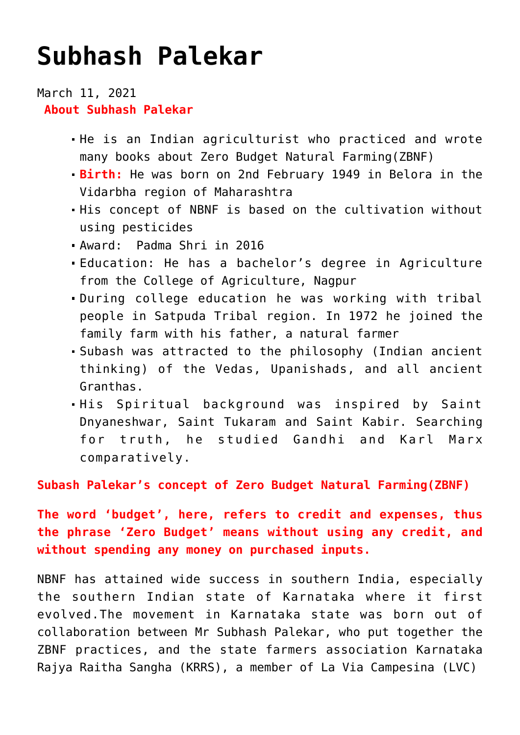## **[Subhash Palekar](https://journalsofindia.com/subhash-palekar/)**

March 11, 2021 **About Subhash Palekar**

- He is an Indian agriculturist who practiced and wrote many books about Zero Budget Natural Farming(ZBNF)
- **Birth:** He was born on 2nd February 1949 in Belora in the Vidarbha region of Maharashtra
- His concept of NBNF is based on the cultivation without using pesticides
- Award: Padma Shri in 2016
- Education: He has a bachelor's degree in Agriculture from the College of Agriculture, Nagpur
- During college education he was working with tribal people in Satpuda Tribal region. In 1972 he joined the family farm with his father, a natural farmer
- Subash was attracted to the philosophy (Indian ancient thinking) of the Vedas, Upanishads, and all ancient Granthas.
- His Spiritual background was inspired by Saint Dnyaneshwar, Saint Tukaram and Saint Kabir. Searching for truth, he studied Gandhi and Karl Marx comparatively.

**Subash Palekar's concept of Zero Budget Natural Farming(ZBNF)**

**The word 'budget', here, refers to credit and expenses, thus the phrase 'Zero Budget' means without using any credit, and without spending any money on purchased inputs.** 

NBNF has attained wide success in southern India, especially the southern Indian state of Karnataka where it first evolved.The movement in Karnataka state was born out of collaboration between Mr Subhash Palekar, who put together the ZBNF practices, and the state farmers association Karnataka Rajya Raitha Sangha (KRRS), a member of La Via Campesina (LVC)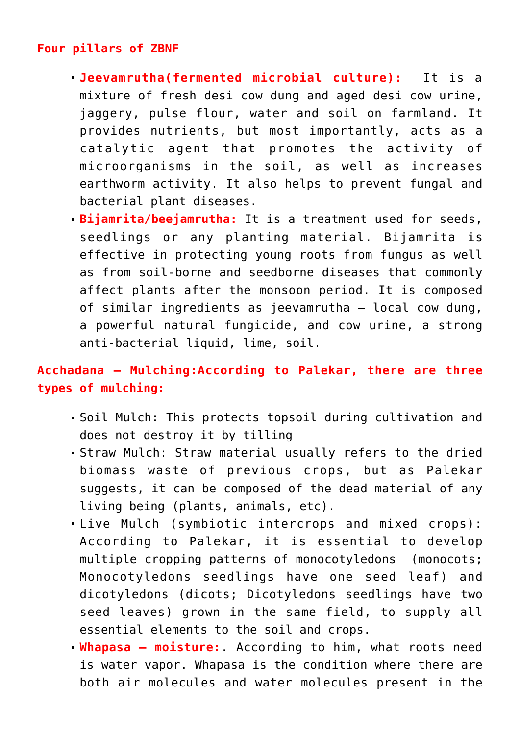## **Four pillars of ZBNF**

- **Jeevamrutha(fermented microbial culture):** It is a mixture of fresh desi cow dung and aged desi cow urine, jaggery, pulse flour, water and soil on farmland. It provides nutrients, but most importantly, acts as a catalytic agent that promotes the activity of microorganisms in the soil, as well as increases earthworm activity. It also helps to prevent fungal and bacterial plant diseases.
- **Bijamrita/beejamrutha:** It is a treatment used for seeds, seedlings or any planting material. Bijamrita is effective in protecting young roots from fungus as well as from soil-borne and seedborne diseases that commonly affect plants after the monsoon period. It is composed of similar ingredients as jeevamrutha – local cow dung, a powerful natural fungicide, and cow urine, a strong anti-bacterial liquid, lime, soil.

## **Acchadana – Mulching:According to Palekar, there are three types of mulching:**

- Soil Mulch: This protects topsoil during cultivation and does not destroy it by tilling
- Straw Mulch: Straw material usually refers to the dried biomass waste of previous crops, but as Palekar suggests, it can be composed of the dead material of any living being (plants, animals, etc).
- Live Mulch (symbiotic intercrops and mixed crops): According to Palekar, it is essential to develop multiple cropping patterns of monocotyledons (monocots; Monocotyledons seedlings have one seed leaf) and dicotyledons (dicots; Dicotyledons seedlings have two seed leaves) grown in the same field, to supply all essential elements to the soil and crops.
- **Whapasa moisture:**. According to him, what roots need is water vapor. Whapasa is the condition where there are both air molecules and water molecules present in the